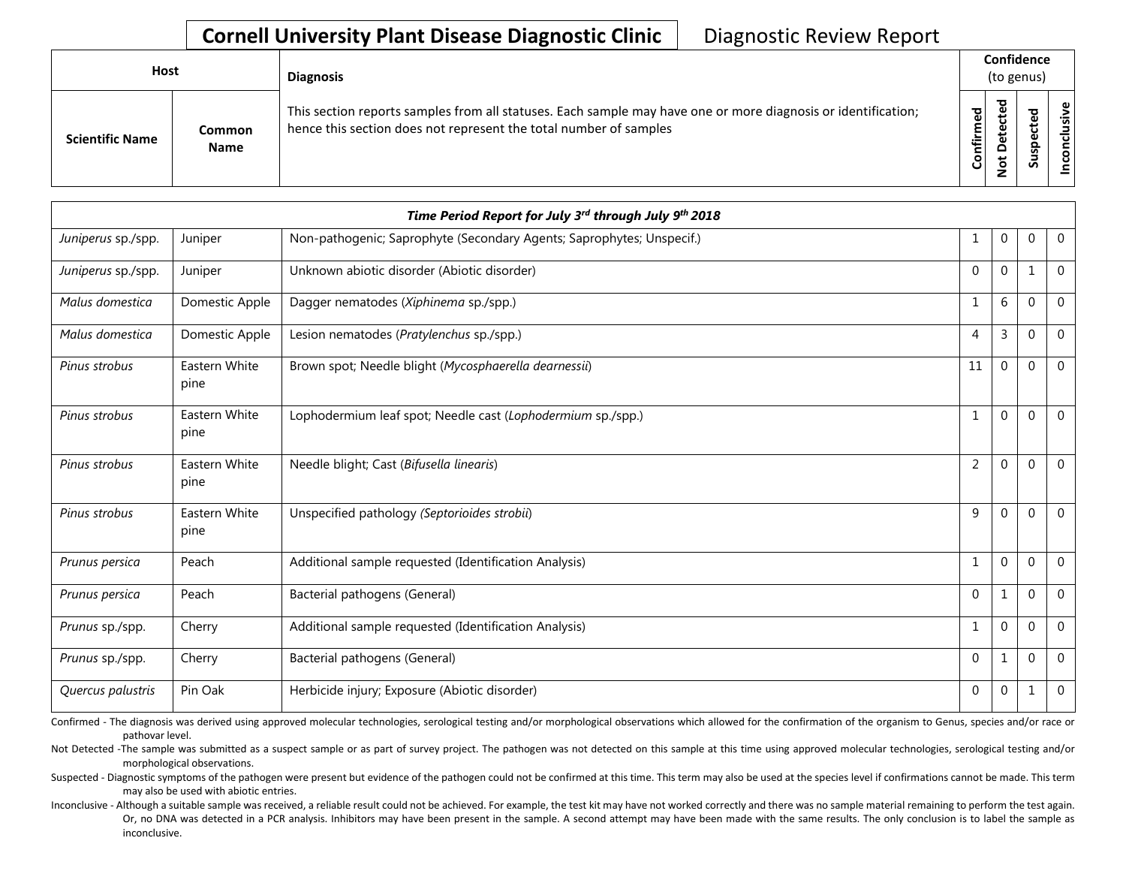## **Cornell University Plant Disease Diagnostic Clinic** | Diagnostic Review Report

| <b>Host</b>            |                       | <b>Diagnosis</b>                                                                                                                                                                   |           | Confidence<br>(to genus) |        |                 |  |  |
|------------------------|-----------------------|------------------------------------------------------------------------------------------------------------------------------------------------------------------------------------|-----------|--------------------------|--------|-----------------|--|--|
| <b>Scientific Name</b> | Common<br><b>Name</b> | This section reports samples from all statuses. Each sample may have one or more diagnosis or identification;<br>hence this section does not represent the total number of samples | Confirmed | ᇃ<br>⊕<br>Δ<br>پ<br>-    | ᇃ<br>ທ | ω<br>usiv<br>᠊ᠣ |  |  |

| Time Period Report for July 3rd through July 9th 2018 |                       |                                                                       |                |             |             |                |  |
|-------------------------------------------------------|-----------------------|-----------------------------------------------------------------------|----------------|-------------|-------------|----------------|--|
| Juniperus sp./spp.                                    | Juniper               | Non-pathogenic; Saprophyte (Secondary Agents; Saprophytes; Unspecif.) | 1              | $\mathbf 0$ | $\mathbf 0$ | $\overline{0}$ |  |
| Juniperus sp./spp.                                    | Juniper               | Unknown abiotic disorder (Abiotic disorder)                           | $\Omega$       | $\Omega$    | 1           | $\mathbf 0$    |  |
| Malus domestica                                       | Domestic Apple        | Dagger nematodes (Xiphinema sp./spp.)                                 | $\mathbf{1}$   | 6           | $\Omega$    | $\Omega$       |  |
| Malus domestica                                       | Domestic Apple        | Lesion nematodes (Pratylenchus sp./spp.)                              | $\overline{4}$ | 3           | $\Omega$    | $\mathbf 0$    |  |
| Pinus strobus                                         | Eastern White<br>pine | Brown spot; Needle blight (Mycosphaerella dearnessii)                 | 11             | 0           | 0           | $\overline{0}$ |  |
| Pinus strobus                                         | Eastern White<br>pine | Lophodermium leaf spot; Needle cast (Lophodermium sp./spp.)           | $\mathbf{1}$   | 0           | $\Omega$    | $\overline{0}$ |  |
| Pinus strobus                                         | Eastern White<br>pine | Needle blight; Cast (Bifusella linearis)                              | $\overline{2}$ | 0           | $\Omega$    | $\mathbf{0}$   |  |
| Pinus strobus                                         | Eastern White<br>pine | Unspecified pathology (Septorioides strobii)                          | 9              | $\Omega$    | $\Omega$    | $\Omega$       |  |
| Prunus persica                                        | Peach                 | Additional sample requested (Identification Analysis)                 | 1              | 0           | $\Omega$    | $\Omega$       |  |
| Prunus persica                                        | Peach                 | Bacterial pathogens (General)                                         | $\mathbf{0}$   |             | $\Omega$    | $\theta$       |  |
| Prunus sp./spp.                                       | Cherry                | Additional sample requested (Identification Analysis)                 | 1              | 0           | $\Omega$    | $\mathbf{0}$   |  |
| Prunus sp./spp.                                       | Cherry                | Bacterial pathogens (General)                                         | $\mathbf{0}$   |             | $\Omega$    | $\mathbf 0$    |  |
| Quercus palustris                                     | Pin Oak               | Herbicide injury; Exposure (Abiotic disorder)                         | $\mathbf{0}$   | $\Omega$    | 1           | $\Omega$       |  |

Confirmed - The diagnosis was derived using approved molecular technologies, serological testing and/or morphological observations which allowed for the confirmation of the organism to Genus, species and/or race or pathovar level.

Not Detected -The sample was submitted as a suspect sample or as part of survey project. The pathogen was not detected on this sample at this time using approved molecular technologies, serological testing and/or morphological observations.

Suspected - Diagnostic symptoms of the pathogen were present but evidence of the pathogen could not be confirmed at this time. This term may also be used at the species level if confirmations cannot be made. This term may also be used with abiotic entries.

Inconclusive - Although a suitable sample was received, a reliable result could not be achieved. For example, the test kit may have not worked correctly and there was no sample material remaining to perform the test again. Or, no DNA was detected in a PCR analysis. Inhibitors may have been present in the sample. A second attempt may have been made with the same results. The only conclusion is to label the sample as inconclusive.